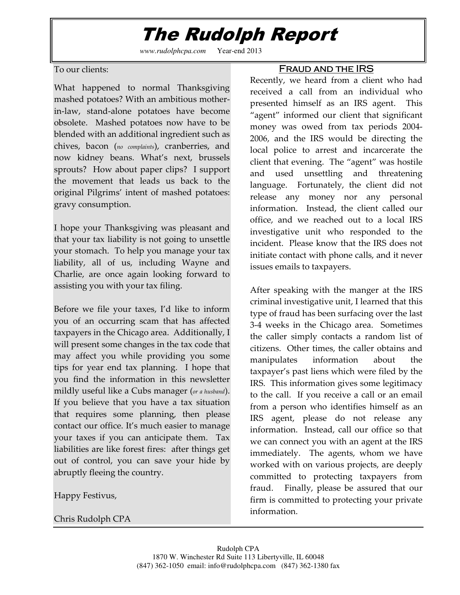## The Rudolph Report

*www.rudolphcpa.com* Year-end 2013

To our clients:

What happened to normal Thanksgiving mashed potatoes? With an ambitious motherin-law, stand-alone potatoes have become obsolete. Mashed potatoes now have to be blended with an additional ingredient such as chives, bacon (no complaints), cranberries, and now kidney beans. What's next, brussels sprouts? How about paper clips? I support the movement that leads us back to the original Pilgrims' intent of mashed potatoes: gravy consumption.

I hope your Thanksgiving was pleasant and that your tax liability is not going to unsettle your stomach. To help you manage your tax liability, all of us, including Wayne and Charlie, are once again looking forward to assisting you with your tax filing.

Before we file your taxes, I'd like to inform you of an occurring scam that has affected taxpayers in the Chicago area. Additionally, I will present some changes in the tax code that may affect you while providing you some tips for year end tax planning. I hope that you find the information in this newsletter mildly useful like a Cubs manager (or a husband). If you believe that you have a tax situation that requires some planning, then please contact our office. It's much easier to manage your taxes if you can anticipate them. Tax liabilities are like forest fires: after things get out of control, you can save your hide by abruptly fleeing the country.

Happy Festivus,

Chris Rudolph CPA

#### FRAUD AND THE IRS

Recently, we heard from a client who had received a call from an individual who presented himself as an IRS agent. This "agent" informed our client that significant money was owed from tax periods 2004- 2006, and the IRS would be directing the local police to arrest and incarcerate the client that evening. The "agent" was hostile and used unsettling and threatening language. Fortunately, the client did not release any money nor any personal information. Instead, the client called our office, and we reached out to a local IRS investigative unit who responded to the incident. Please know that the IRS does not initiate contact with phone calls, and it never issues emails to taxpayers.

After speaking with the manger at the IRS criminal investigative unit, I learned that this type of fraud has been surfacing over the last 3-4 weeks in the Chicago area. Sometimes the caller simply contacts a random list of citizens. Other times, the caller obtains and manipulates information about the taxpayer's past liens which were filed by the IRS. This information gives some legitimacy to the call. If you receive a call or an email from a person who identifies himself as an IRS agent, please do not release any information. Instead, call our office so that we can connect you with an agent at the IRS immediately. The agents, whom we have worked with on various projects, are deeply committed to protecting taxpayers from fraud. Finally, please be assured that our firm is committed to protecting your private information.